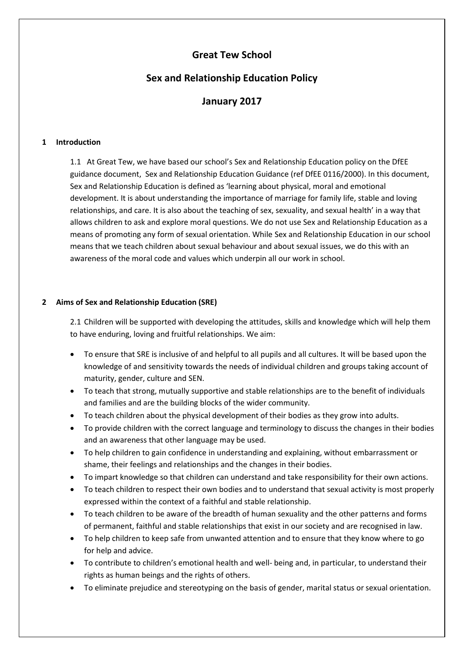# **Great Tew School**

# **Sex and Relationship Education Policy**

# **January 2017**

### **1 Introduction**

1.1 At Great Tew, we have based our school's Sex and Relationship Education policy on the DfEE guidance document, Sex and Relationship Education Guidance (ref DfEE 0116/2000). In this document, Sex and Relationship Education is defined as 'learning about physical, moral and emotional development. It is about understanding the importance of marriage for family life, stable and loving relationships, and care. It is also about the teaching of sex, sexuality, and sexual health' in a way that allows children to ask and explore moral questions. We do not use Sex and Relationship Education as a means of promoting any form of sexual orientation. While Sex and Relationship Education in our school means that we teach children about sexual behaviour and about sexual issues, we do this with an awareness of the moral code and values which underpin all our work in school.

### **2 Aims of Sex and Relationship Education (SRE)**

2.1 Children will be supported with developing the attitudes, skills and knowledge which will help them to have enduring, loving and fruitful relationships. We aim:

- To ensure that SRE is inclusive of and helpful to all pupils and all cultures. It will be based upon the knowledge of and sensitivity towards the needs of individual children and groups taking account of maturity, gender, culture and SEN.
- To teach that strong, mutually supportive and stable relationships are to the benefit of individuals and families and are the building blocks of the wider community.
- To teach children about the physical development of their bodies as they grow into adults.
- To provide children with the correct language and terminology to discuss the changes in their bodies and an awareness that other language may be used.
- To help children to gain confidence in understanding and explaining, without embarrassment or shame, their feelings and relationships and the changes in their bodies.
- To impart knowledge so that children can understand and take responsibility for their own actions.
- To teach children to respect their own bodies and to understand that sexual activity is most properly expressed within the context of a faithful and stable relationship.
- To teach children to be aware of the breadth of human sexuality and the other patterns and forms of permanent, faithful and stable relationships that exist in our society and are recognised in law.
- To help children to keep safe from unwanted attention and to ensure that they know where to go for help and advice.
- To contribute to children's emotional health and well- being and, in particular, to understand their rights as human beings and the rights of others.
- To eliminate prejudice and stereotyping on the basis of gender, marital status or sexual orientation.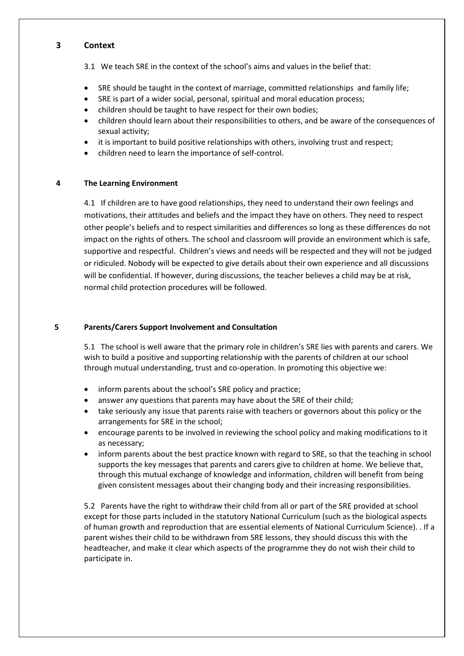## **3 Context**

3.1 We teach SRE in the context of the school's aims and values in the belief that:

- SRE should be taught in the context of marriage, committed relationships and family life;
- SRE is part of a wider social, personal, spiritual and moral education process;
- children should be taught to have respect for their own bodies;
- children should learn about their responsibilities to others, and be aware of the consequences of sexual activity;
- it is important to build positive relationships with others, involving trust and respect;
- children need to learn the importance of self-control.

#### **4 The Learning Environment**

4.1 If children are to have good relationships, they need to understand their own feelings and motivations, their attitudes and beliefs and the impact they have on others. They need to respect other people's beliefs and to respect similarities and differences so long as these differences do not impact on the rights of others. The school and classroom will provide an environment which is safe, supportive and respectful. Children's views and needs will be respected and they will not be judged or ridiculed. Nobody will be expected to give details about their own experience and all discussions will be confidential. If however, during discussions, the teacher believes a child may be at risk, normal child protection procedures will be followed.

## **5 Parents/Carers Support Involvement and Consultation**

5.1 The school is well aware that the primary role in children's SRE lies with parents and carers. We wish to build a positive and supporting relationship with the parents of children at our school through mutual understanding, trust and co-operation. In promoting this objective we:

- inform parents about the school's SRE policy and practice;
- answer any questions that parents may have about the SRE of their child;
- take seriously any issue that parents raise with teachers or governors about this policy or the arrangements for SRE in the school;
- encourage parents to be involved in reviewing the school policy and making modifications to it as necessary;
- inform parents about the best practice known with regard to SRE, so that the teaching in school supports the key messages that parents and carers give to children at home. We believe that, through this mutual exchange of knowledge and information, children will benefit from being given consistent messages about their changing body and their increasing responsibilities.

5.2 Parents have the right to withdraw their child from all or part of the SRE provided at school except for those parts included in the statutory National Curriculum (such as the biological aspects of human growth and reproduction that are essential elements of National Curriculum Science). . If a parent wishes their child to be withdrawn from SRE lessons, they should discuss this with the headteacher, and make it clear which aspects of the programme they do not wish their child to participate in.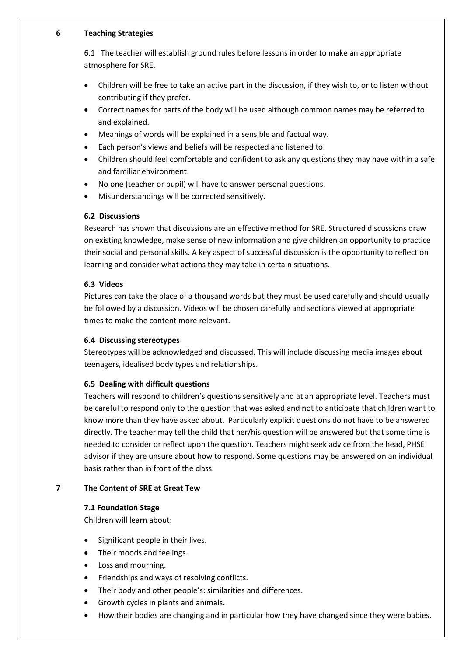#### **6 Teaching Strategies**

6.1 The teacher will establish ground rules before lessons in order to make an appropriate atmosphere for SRE.

- Children will be free to take an active part in the discussion, if they wish to, or to listen without contributing if they prefer.
- Correct names for parts of the body will be used although common names may be referred to and explained.
- Meanings of words will be explained in a sensible and factual way.
- Each person's views and beliefs will be respected and listened to.
- Children should feel comfortable and confident to ask any questions they may have within a safe and familiar environment.
- No one (teacher or pupil) will have to answer personal questions.
- Misunderstandings will be corrected sensitively.

# **6.2 Discussions**

Research has shown that discussions are an effective method for SRE. Structured discussions draw on existing knowledge, make sense of new information and give children an opportunity to practice their social and personal skills. A key aspect of successful discussion is the opportunity to reflect on learning and consider what actions they may take in certain situations.

### **6.3 Videos**

Pictures can take the place of a thousand words but they must be used carefully and should usually be followed by a discussion. Videos will be chosen carefully and sections viewed at appropriate times to make the content more relevant.

# **6.4 Discussing stereotypes**

Stereotypes will be acknowledged and discussed. This will include discussing media images about teenagers, idealised body types and relationships.

# **6.5 Dealing with difficult questions**

Teachers will respond to children's questions sensitively and at an appropriate level. Teachers must be careful to respond only to the question that was asked and not to anticipate that children want to know more than they have asked about. Particularly explicit questions do not have to be answered directly. The teacher may tell the child that her/his question will be answered but that some time is needed to consider or reflect upon the question. Teachers might seek advice from the head, PHSE advisor if they are unsure about how to respond. Some questions may be answered on an individual basis rather than in front of the class.

# **7 The Content of SRE at Great Tew**

# **7.1 Foundation Stage**

Children will learn about:

- Significant people in their lives.
- Their moods and feelings.
- Loss and mourning.
- Friendships and ways of resolving conflicts.
- Their body and other people's: similarities and differences.
- Growth cycles in plants and animals.
- How their bodies are changing and in particular how they have changed since they were babies.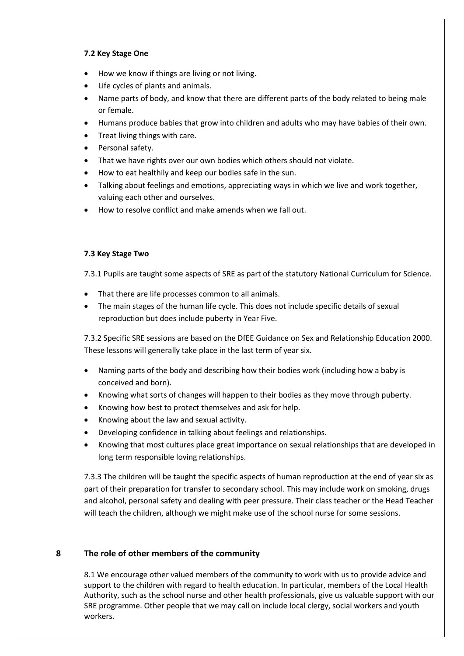# **7.2 Key Stage One**

- How we know if things are living or not living.
- Life cycles of plants and animals.
- Name parts of body, and know that there are different parts of the body related to being male or female.
- Humans produce babies that grow into children and adults who may have babies of their own.
- Treat living things with care.
- Personal safety.
- That we have rights over our own bodies which others should not violate.
- How to eat healthily and keep our bodies safe in the sun.
- Talking about feelings and emotions, appreciating ways in which we live and work together, valuing each other and ourselves.
- How to resolve conflict and make amends when we fall out.

### **7.3 Key Stage Two**

7.3.1 Pupils are taught some aspects of SRE as part of the statutory National Curriculum for Science.

- That there are life processes common to all animals.
- The main stages of the human life cycle. This does not include specific details of sexual reproduction but does include puberty in Year Five.

7.3.2 Specific SRE sessions are based on the DfEE Guidance on Sex and Relationship Education 2000. These lessons will generally take place in the last term of year six.

- Naming parts of the body and describing how their bodies work (including how a baby is conceived and born).
- Knowing what sorts of changes will happen to their bodies as they move through puberty.
- Knowing how best to protect themselves and ask for help.
- Knowing about the law and sexual activity.
- Developing confidence in talking about feelings and relationships.
- Knowing that most cultures place great importance on sexual relationships that are developed in long term responsible loving relationships.

7.3.3 The children will be taught the specific aspects of human reproduction at the end of year six as part of their preparation for transfer to secondary school. This may include work on smoking, drugs and alcohol, personal safety and dealing with peer pressure. Their class teacher or the Head Teacher will teach the children, although we might make use of the school nurse for some sessions.

# **8 The role of other members of the community**

8.1 We encourage other valued members of the community to work with us to provide advice and support to the children with regard to health education. In particular, members of the Local Health Authority, such as the school nurse and other health professionals, give us valuable support with our SRE programme. Other people that we may call on include local clergy, social workers and youth workers.